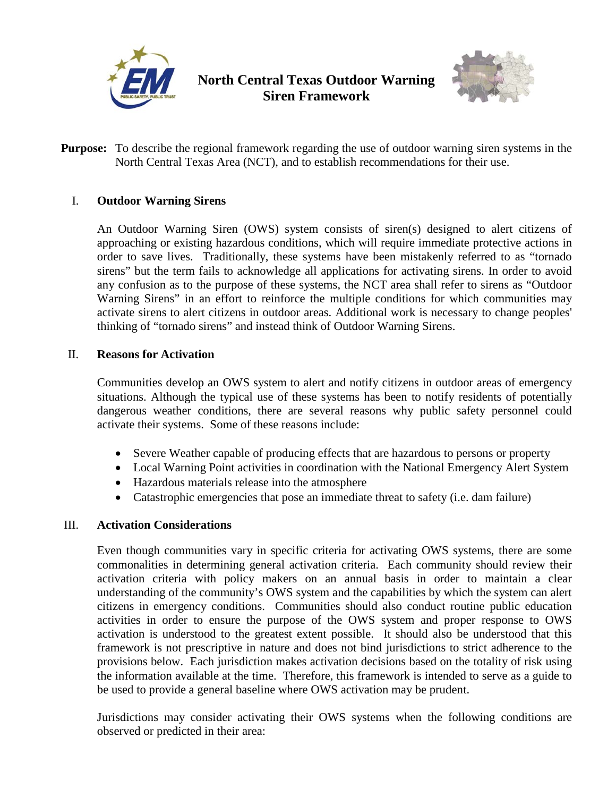

# **North Central Texas Outdoor Warning Siren Framework**



**Purpose:** To describe the regional framework regarding the use of outdoor warning siren systems in the North Central Texas Area (NCT), and to establish recommendations for their use.

## I. **Outdoor Warning Sirens**

An Outdoor Warning Siren (OWS) system consists of siren(s) designed to alert citizens of approaching or existing hazardous conditions, which will require immediate protective actions in order to save lives. Traditionally, these systems have been mistakenly referred to as "tornado sirens" but the term fails to acknowledge all applications for activating sirens. In order to avoid any confusion as to the purpose of these systems, the NCT area shall refer to sirens as "Outdoor Warning Sirens" in an effort to reinforce the multiple conditions for which communities may activate sirens to alert citizens in outdoor areas. Additional work is necessary to change peoples' thinking of "tornado sirens" and instead think of Outdoor Warning Sirens.

## II. **Reasons for Activation**

Communities develop an OWS system to alert and notify citizens in outdoor areas of emergency situations. Although the typical use of these systems has been to notify residents of potentially dangerous weather conditions, there are several reasons why public safety personnel could activate their systems. Some of these reasons include:

- Severe Weather capable of producing effects that are hazardous to persons or property
- Local Warning Point activities in coordination with the National Emergency Alert System
- Hazardous materials release into the atmosphere
- Catastrophic emergencies that pose an immediate threat to safety (i.e. dam failure)

## III. **Activation Considerations**

Even though communities vary in specific criteria for activating OWS systems, there are some commonalities in determining general activation criteria. Each community should review their activation criteria with policy makers on an annual basis in order to maintain a clear understanding of the community's OWS system and the capabilities by which the system can alert citizens in emergency conditions. Communities should also conduct routine public education activities in order to ensure the purpose of the OWS system and proper response to OWS activation is understood to the greatest extent possible. It should also be understood that this framework is not prescriptive in nature and does not bind jurisdictions to strict adherence to the provisions below. Each jurisdiction makes activation decisions based on the totality of risk using the information available at the time. Therefore, this framework is intended to serve as a guide to be used to provide a general baseline where OWS activation may be prudent.

Jurisdictions may consider activating their OWS systems when the following conditions are observed or predicted in their area: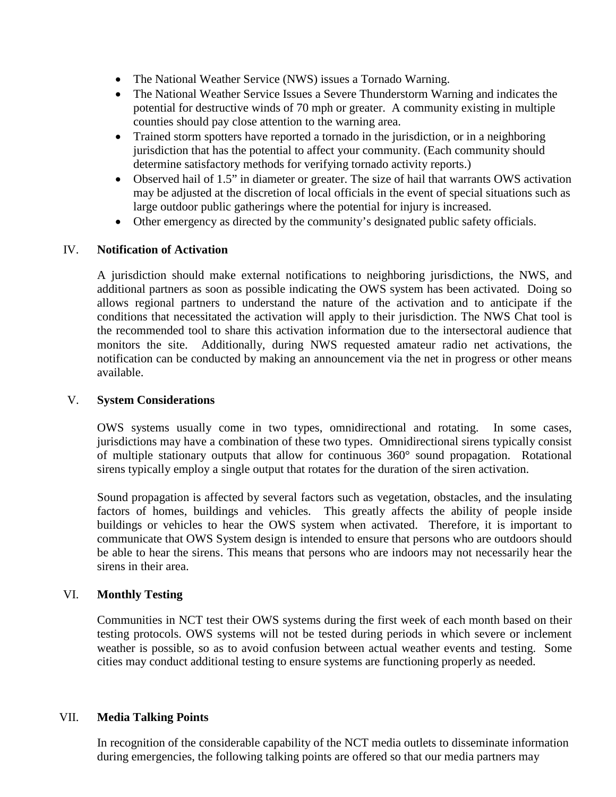- The National Weather Service (NWS) issues a Tornado Warning.
- The National Weather Service Issues a Severe Thunderstorm Warning and indicates the potential for destructive winds of 70 mph or greater. A community existing in multiple counties should pay close attention to the warning area.
- Trained storm spotters have reported a tornado in the jurisdiction, or in a neighboring jurisdiction that has the potential to affect your community. (Each community should determine satisfactory methods for verifying tornado activity reports.)
- Observed hail of 1.5" in diameter or greater. The size of hail that warrants OWS activation may be adjusted at the discretion of local officials in the event of special situations such as large outdoor public gatherings where the potential for injury is increased.
- Other emergency as directed by the community's designated public safety officials.

## IV. **Notification of Activation**

A jurisdiction should make external notifications to neighboring jurisdictions, the NWS, and additional partners as soon as possible indicating the OWS system has been activated. Doing so allows regional partners to understand the nature of the activation and to anticipate if the conditions that necessitated the activation will apply to their jurisdiction. The NWS Chat tool is the recommended tool to share this activation information due to the intersectoral audience that monitors the site. Additionally, during NWS requested amateur radio net activations, the notification can be conducted by making an announcement via the net in progress or other means available.

## V. **System Considerations**

OWS systems usually come in two types, omnidirectional and rotating. In some cases, jurisdictions may have a combination of these two types. Omnidirectional sirens typically consist of multiple stationary outputs that allow for continuous 360° sound propagation. Rotational sirens typically employ a single output that rotates for the duration of the siren activation.

Sound propagation is affected by several factors such as vegetation, obstacles, and the insulating factors of homes, buildings and vehicles. This greatly affects the ability of people inside buildings or vehicles to hear the OWS system when activated. Therefore, it is important to communicate that OWS System design is intended to ensure that persons who are outdoors should be able to hear the sirens. This means that persons who are indoors may not necessarily hear the sirens in their area.

## VI. **Monthly Testing**

Communities in NCT test their OWS systems during the first week of each month based on their testing protocols. OWS systems will not be tested during periods in which severe or inclement weather is possible, so as to avoid confusion between actual weather events and testing. Some cities may conduct additional testing to ensure systems are functioning properly as needed.

## VII. **Media Talking Points**

In recognition of the considerable capability of the NCT media outlets to disseminate information during emergencies, the following talking points are offered so that our media partners may